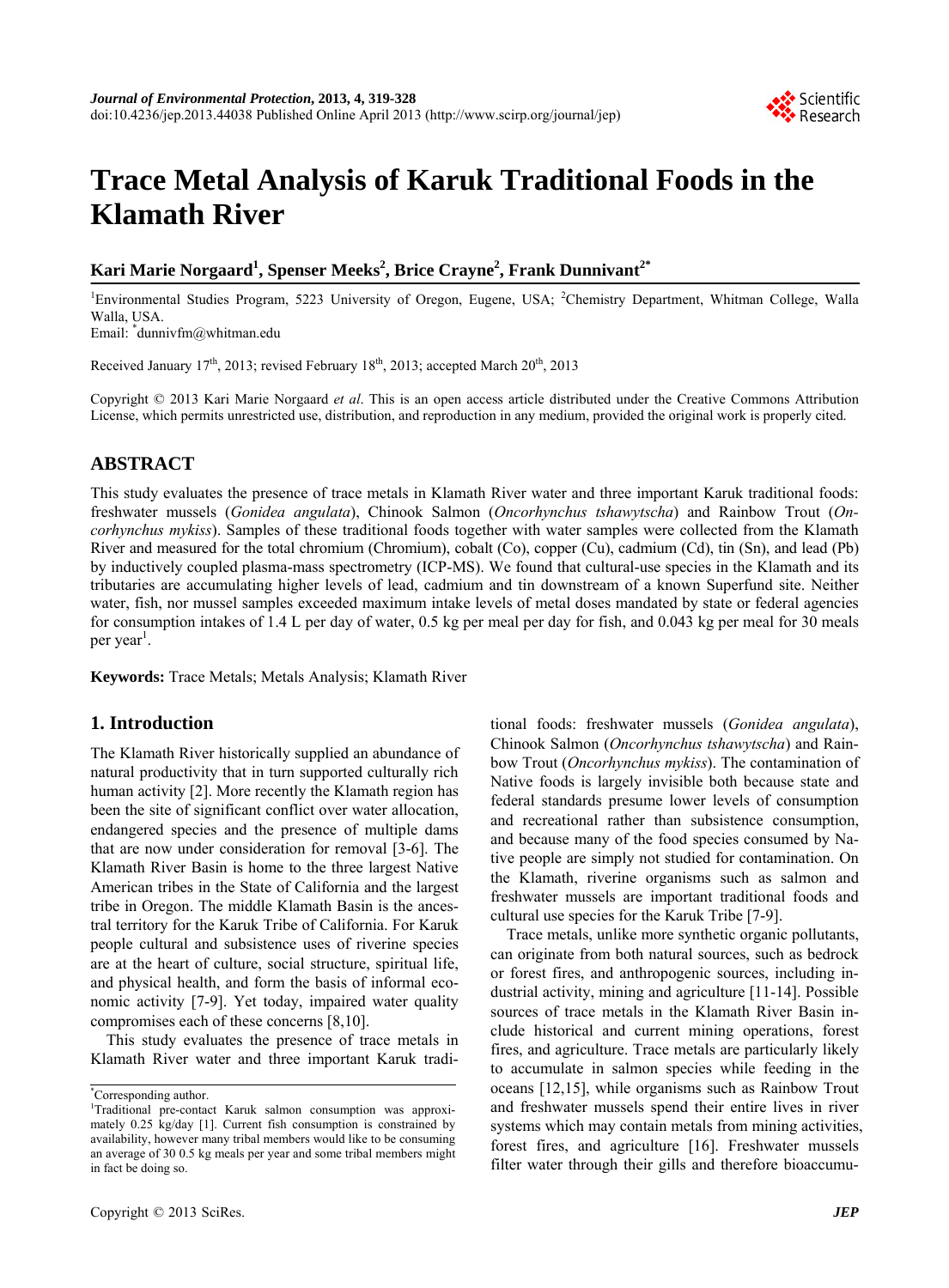

# **Trace Metal Analysis of Karuk Traditional Foods in the Klamath River**

# $\bold{K}$ ari Marie Norgaard<sup>1</sup>, Spenser Meeks<sup>2</sup>, Brice Crayne<sup>2</sup>, Frank Dunnivant $\boldsymbol{l}^{\ast}$

<sup>1</sup>Environmental Studies Program, 5223 University of Oregon, Eugene, USA; <sup>2</sup>Chemistry Department, Whitman College, Walla Walla, USA.

Email: \* dunnivfm@whitman.edu

Received January  $17<sup>th</sup>$ , 2013; revised February  $18<sup>th</sup>$ , 2013; accepted March  $20<sup>th</sup>$ , 2013

Copyright © 2013 Kari Marie Norgaard *et al*. This is an open access article distributed under the Creative Commons Attribution License, which permits unrestricted use, distribution, and reproduction in any medium, provided the original work is properly cited.

# **ABSTRACT**

This study evaluates the presence of trace metals in Klamath River water and three important Karuk traditional foods: freshwater mussels (*Gonidea angulata*), Chinook Salmon (*Oncorhynchus tshawytscha*) and Rainbow Trout (*Oncorhynchus mykiss*). Samples of these traditional foods together with water samples were collected from the Klamath River and measured for the total chromium (Chromium), cobalt (Co), copper (Cu), cadmium (Cd), tin (Sn), and lead (Pb) by inductively coupled plasma-mass spectrometry (ICP-MS). We found that cultural-use species in the Klamath and its tributaries are accumulating higher levels of lead, cadmium and tin downstream of a known Superfund site. Neither water, fish, nor mussel samples exceeded maximum intake levels of metal doses mandated by state or federal agencies for consumption intakes of 1.4 L per day of water, 0.5 kg per meal per day for fish, and 0.043 kg per meal for 30 meals per year<sup>1</sup>.

**Keywords:** Trace Metals; Metals Analysis; Klamath River

# **1. Introduction**

The Klamath River historically supplied an abundance of natural productivity that in turn supported culturally rich human activity [2]. More recently the Klamath region has been the site of significant conflict over water allocation, endangered species and the presence of multiple dams that are now under consideration for removal [3-6]. The Klamath River Basin is home to the three largest Native American tribes in the State of California and the largest tribe in Oregon. The middle Klamath Basin is the ancestral territory for the Karuk Tribe of California. For Karuk people cultural and subsistence uses of riverine species are at the heart of culture, social structure, spiritual life, and physical health, and form the basis of informal economic activity [7-9]. Yet today, impaired water quality compromises each of these concerns [8,10].

This study evaluates the presence of trace metals in Klamath River water and three important Karuk traditional foods: freshwater mussels (*Gonidea angulata*), Chinook Salmon (*Oncorhynchus tshawytscha*) and Rainbow Trout (*Oncorhynchus mykiss*). The contamination of Native foods is largely invisible both because state and federal standards presume lower levels of consumption and recreational rather than subsistence consumption, and because many of the food species consumed by Native people are simply not studied for contamination. On the Klamath, riverine organisms such as salmon and freshwater mussels are important traditional foods and cultural use species for the Karuk Tribe [7-9].

Trace metals, unlike more synthetic organic pollutants, can originate from both natural sources, such as bedrock or forest fires, and anthropogenic sources, including industrial activity, mining and agriculture [11-14]. Possible sources of trace metals in the Klamath River Basin include historical and current mining operations, forest fires, and agriculture. Trace metals are particularly likely to accumulate in salmon species while feeding in the oceans [12,15], while organisms such as Rainbow Trout and freshwater mussels spend their entire lives in river systems which may contain metals from mining activities, forest fires, and agriculture [16]. Freshwater mussels filter water through their gills and therefore bioaccumu-

<sup>\*</sup> Corresponding author.

<sup>&</sup>lt;sup>1</sup>Traditional pre-contact Karuk salmon consumption was approximately 0.25 kg/day [1]. Current fish consumption is constrained by availability, however many tribal members would like to be consuming an average of 30 0.5 kg meals per year and some tribal members might in fact be doing so.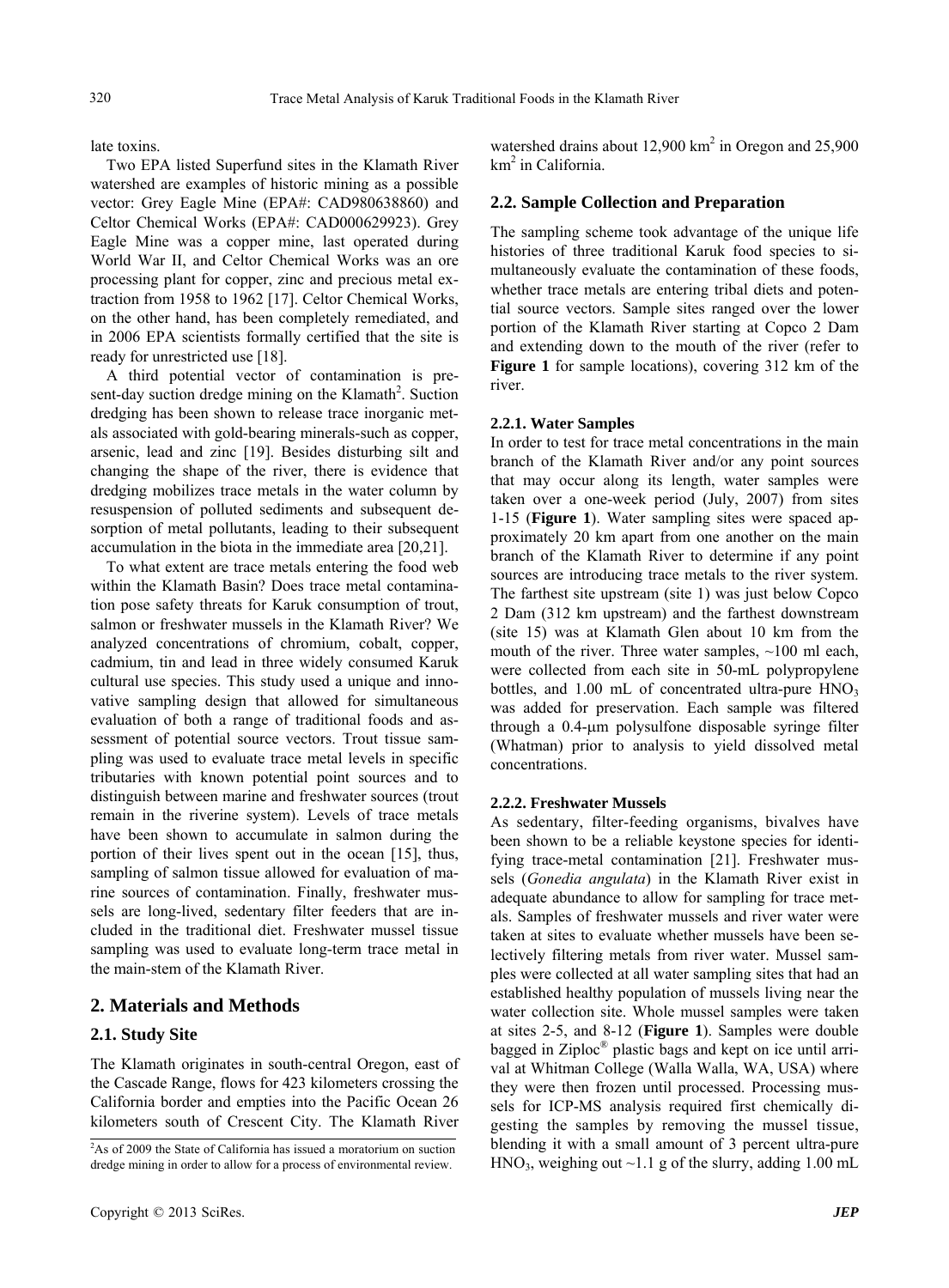late toxins.

Two EPA listed Superfund sites in the Klamath River watershed are examples of historic mining as a possible vector: Grey Eagle Mine (EPA#: CAD980638860) and Celtor Chemical Works (EPA#: CAD000629923). Grey Eagle Mine was a copper mine, last operated during World War II, and Celtor Chemical Works was an ore processing plant for copper, zinc and precious metal extraction from 1958 to 1962 [17]. Celtor Chemical Works, on the other hand, has been completely remediated, and in 2006 EPA scientists formally certified that the site is ready for unrestricted use [18].

A third potential vector of contamination is present-day suction dredge mining on the Klamath<sup>2</sup>. Suction dredging has been shown to release trace inorganic metals associated with gold-bearing minerals-such as copper, arsenic, lead and zinc [19]. Besides disturbing silt and changing the shape of the river, there is evidence that dredging mobilizes trace metals in the water column by resuspension of polluted sediments and subsequent desorption of metal pollutants, leading to their subsequent accumulation in the biota in the immediate area [20,21].

To what extent are trace metals entering the food web within the Klamath Basin? Does trace metal contamination pose safety threats for Karuk consumption of trout, salmon or freshwater mussels in the Klamath River? We analyzed concentrations of chromium, cobalt, copper, cadmium, tin and lead in three widely consumed Karuk cultural use species. This study used a unique and innovative sampling design that allowed for simultaneous evaluation of both a range of traditional foods and assessment of potential source vectors. Trout tissue sampling was used to evaluate trace metal levels in specific tributaries with known potential point sources and to distinguish between marine and freshwater sources (trout remain in the riverine system). Levels of trace metals have been shown to accumulate in salmon during the portion of their lives spent out in the ocean [15], thus, sampling of salmon tissue allowed for evaluation of marine sources of contamination. Finally, freshwater mussels are long-lived, sedentary filter feeders that are included in the traditional diet. Freshwater mussel tissue sampling was used to evaluate long-term trace metal in the main-stem of the Klamath River.

# **2. Materials and Methods**

#### **2.1. Study Site**

The Klamath originates in south-central Oregon, east of the Cascade Range, flows for 423 kilometers crossing the California border and empties into the Pacific Ocean 26 kilometers south of Crescent City. The Klamath River watershed drains about 12,900 km<sup>2</sup> in Oregon and 25,900 km<sup>2</sup> in California.

#### **2.2. Sample Collection and Preparation**

The sampling scheme took advantage of the unique life histories of three traditional Karuk food species to simultaneously evaluate the contamination of these foods, whether trace metals are entering tribal diets and potential source vectors. Sample sites ranged over the lower portion of the Klamath River starting at Copco 2 Dam and extending down to the mouth of the river (refer to **Figure 1** for sample locations), covering 312 km of the river.

#### **2.2.1. Water Samples**

In order to test for trace metal concentrations in the main branch of the Klamath River and/or any point sources that may occur along its length, water samples were taken over a one-week period (July, 2007) from sites 1-15 (**Figure 1**). Water sampling sites were spaced approximately 20 km apart from one another on the main branch of the Klamath River to determine if any point sources are introducing trace metals to the river system. The farthest site upstream (site 1) was just below Copco 2 Dam (312 km upstream) and the farthest downstream (site 15) was at Klamath Glen about 10 km from the mouth of the river. Three water samples, ~100 ml each, were collected from each site in 50-mL polypropylene bottles, and 1.00 mL of concentrated ultra-pure HNO<sub>3</sub> was added for preservation. Each sample was filtered through a 0.4-um polysulfone disposable syringe filter (Whatman) prior to analysis to yield dissolved metal concentrations.

#### **2.2.2. Freshwater Mussels**

As sedentary, filter-feeding organisms, bivalves have been shown to be a reliable keystone species for identifying trace-metal contamination [21]. Freshwater mussels (*Gonedia angulata*) in the Klamath River exist in adequate abundance to allow for sampling for trace metals. Samples of freshwater mussels and river water were taken at sites to evaluate whether mussels have been selectively filtering metals from river water. Mussel samples were collected at all water sampling sites that had an established healthy population of mussels living near the water collection site. Whole mussel samples were taken at sites 2-5, and 8-12 (**Figure 1**). Samples were double bagged in Ziploc® plastic bags and kept on ice until arrival at Whitman College (Walla Walla, WA, USA) where they were then frozen until processed. Processing mussels for ICP-MS analysis required first chemically digesting the samples by removing the mussel tissue, blending it with a small amount of 3 percent ultra-pure  $HNO<sub>3</sub>$ , weighing out ~1.1 g of the slurry, adding 1.00 mL

<sup>2</sup> As of 2009 the State of California has issued a moratorium on suction dredge mining in order to allow for a process of environmental review.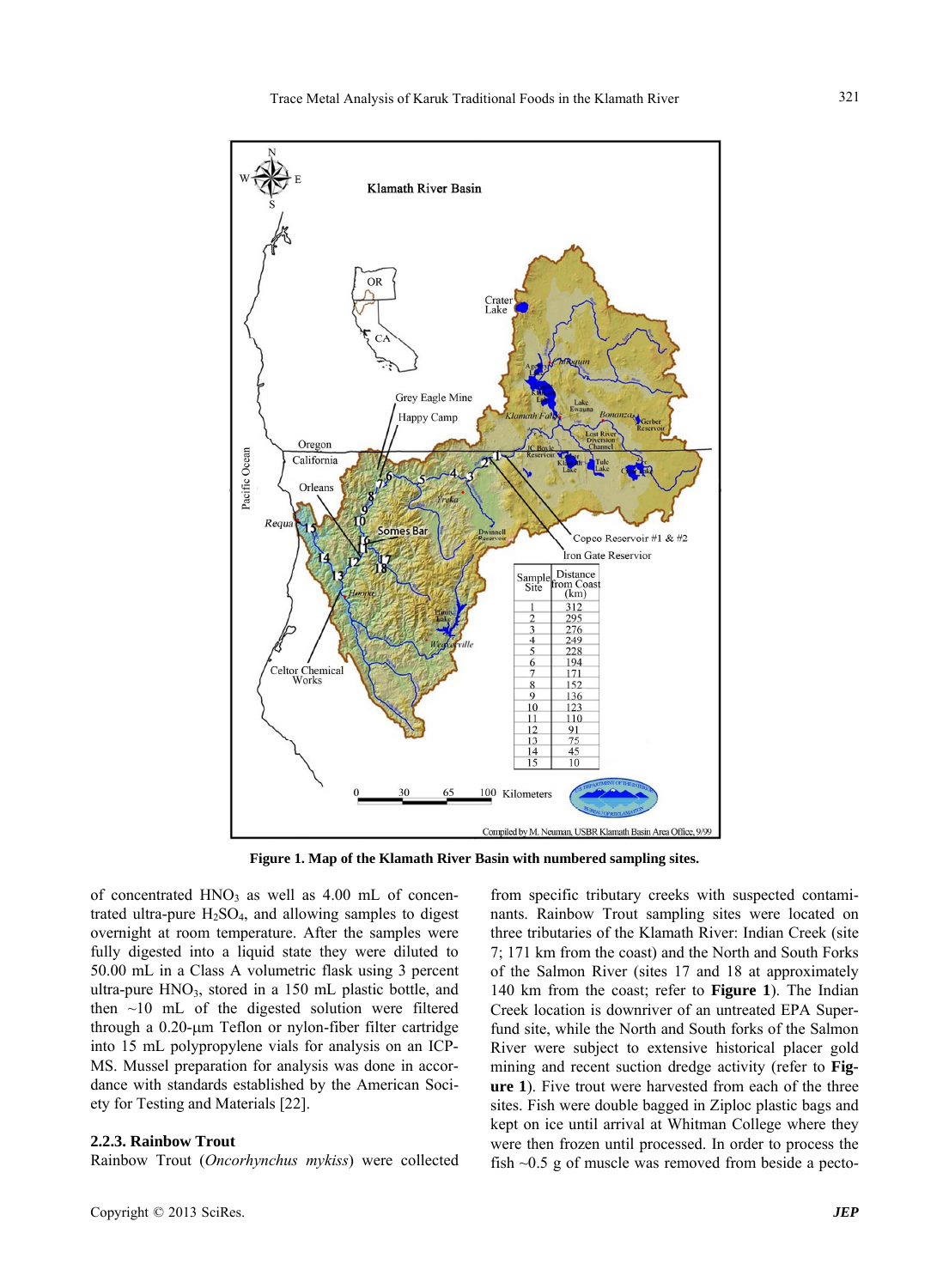

**Figure 1. Map of the Klamath River Basin with numbered sampling sites.** 

of concentrated  $HNO<sub>3</sub>$  as well as 4.00 mL of concentrated ultra-pure  $H_2SO_4$ , and allowing samples to digest overnight at room temperature. After the samples were fully digested into a liquid state they were diluted to 50.00 mL in a Class A volumetric flask using 3 percent ultra-pure  $HNO<sub>3</sub>$ , stored in a 150 mL plastic bottle, and then  $\sim$ 10 mL of the digested solution were filtered through a 0.20-um Teflon or nylon-fiber filter cartridge into 15 mL polypropylene vials for analysis on an ICP-MS. Mussel preparation for analysis was done in accordance with standards established by the American Society for Testing and Materials [22].

#### **2.2.3. Rainbow Trout**

Rainbow Trout (*Oncorhynchus mykiss*) were collected

from specific tributary creeks with suspected contaminants. Rainbow Trout sampling sites were located on three tributaries of the Klamath River: Indian Creek (site 7; 171 km from the coast) and the North and South Forks of the Salmon River (sites 17 and 18 at approximately 140 km from the coast; refer to **Figure 1**). The Indian Creek location is downriver of an untreated EPA Superfund site, while the North and South forks of the Salmon River were subject to extensive historical placer gold mining and recent suction dredge activity (refer to **Figure 1**). Five trout were harvested from each of the three sites. Fish were double bagged in Ziploc plastic bags and kept on ice until arrival at Whitman College where they were then frozen until processed. In order to process the fish  $\sim$ 0.5 g of muscle was removed from beside a pecto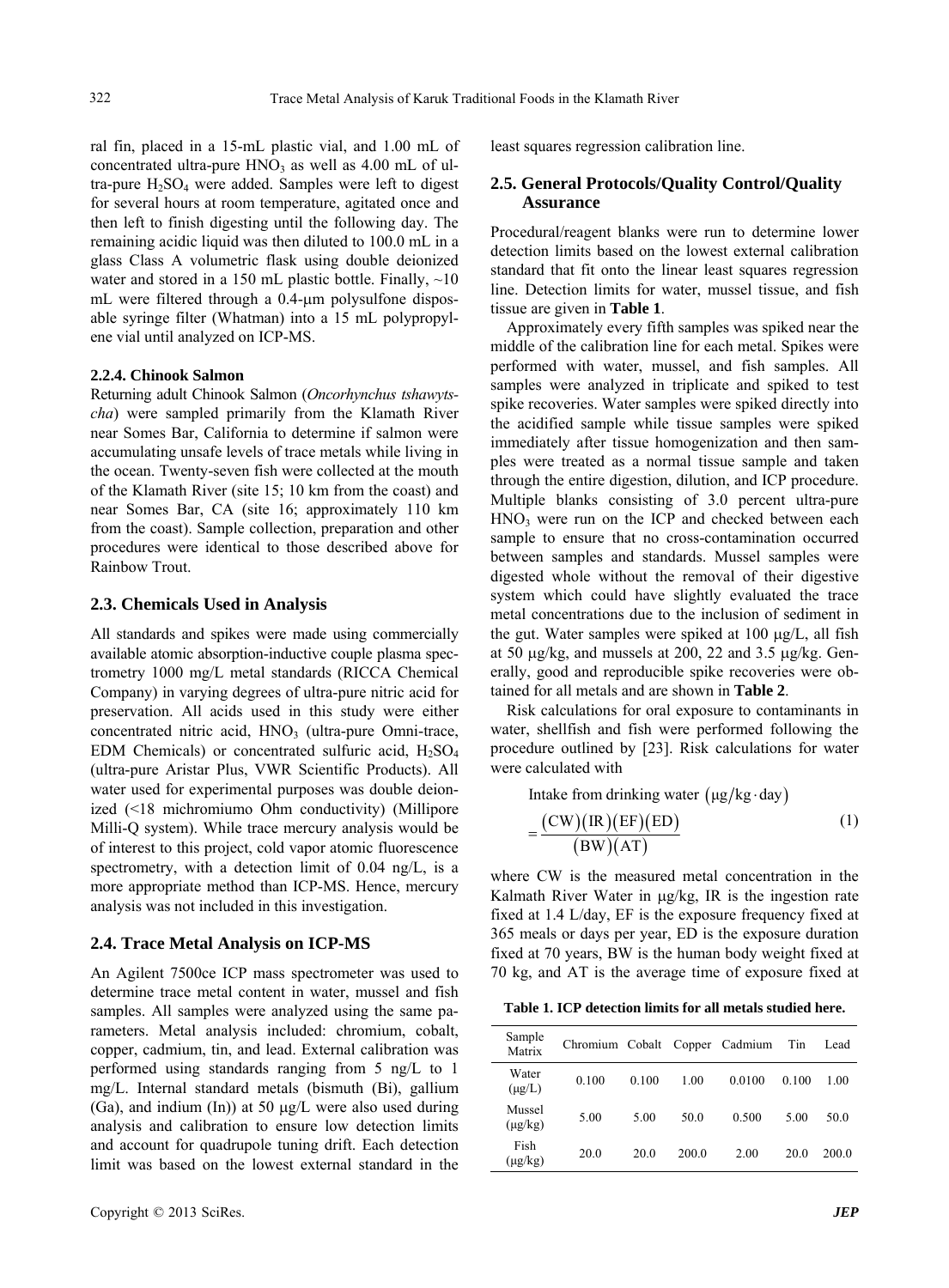ral fin, placed in a 15-mL plastic vial, and 1.00 mL of concentrated ultra-pure  $HNO<sub>3</sub>$  as well as 4.00 mL of ultra-pure  $H_2SO_4$  were added. Samples were left to digest for several hours at room temperature, agitated once and then left to finish digesting until the following day. The remaining acidic liquid was then diluted to 100.0 mL in a glass Class A volumetric flask using double deionized water and stored in a 150 mL plastic bottle. Finally,  $\sim$ 10 mL were filtered through a  $0.4$ - $\mu$ m polysulfone disposable syringe filter (Whatman) into a 15 mL polypropylene vial until analyzed on ICP-MS.

#### **2.2.4. Chinook Salmon**

Returning adult Chinook Salmon (*Oncorhynchus tshawytscha*) were sampled primarily from the Klamath River near Somes Bar, California to determine if salmon were accumulating unsafe levels of trace metals while living in the ocean. Twenty-seven fish were collected at the mouth of the Klamath River (site 15; 10 km from the coast) and near Somes Bar, CA (site 16; approximately 110 km from the coast). Sample collection, preparation and other procedures were identical to those described above for Rainbow Trout.

#### **2.3. Chemicals Used in Analysis**

All standards and spikes were made using commercially available atomic absorption-inductive couple plasma spectrometry 1000 mg/L metal standards (RICCA Chemical Company) in varying degrees of ultra-pure nitric acid for preservation. All acids used in this study were either concentrated nitric acid,  $HNO<sub>3</sub>$  (ultra-pure Omni-trace, EDM Chemicals) or concentrated sulfuric acid,  $H_2SO_4$ (ultra-pure Aristar Plus, VWR Scientific Products). All water used for experimental purposes was double deionized (<18 michromiumo Ohm conductivity) (Millipore Milli-Q system). While trace mercury analysis would be of interest to this project, cold vapor atomic fluorescence spectrometry, with a detection limit of 0.04 ng/L, is a more appropriate method than ICP-MS. Hence, mercury analysis was not included in this investigation.

#### **2.4. Trace Metal Analysis on ICP-MS**

An Agilent 7500ce ICP mass spectrometer was used to determine trace metal content in water, mussel and fish samples. All samples were analyzed using the same parameters. Metal analysis included: chromium, cobalt, copper, cadmium, tin, and lead. External calibration was performed using standards ranging from 5 ng/L to 1 mg/L. Internal standard metals (bismuth (Bi), gallium (Ga), and indium (In)) at 50  $\mu$ g/L were also used during analysis and calibration to ensure low detection limits and account for quadrupole tuning drift. Each detection limit was based on the lowest external standard in the

least squares regression calibration line.

#### **2.5. General Protocols/Quality Control/Quality Assurance**

Procedural/reagent blanks were run to determine lower detection limits based on the lowest external calibration standard that fit onto the linear least squares regression line. Detection limits for water, mussel tissue, and fish tissue are given in **Table 1**.

Approximately every fifth samples was spiked near the middle of the calibration line for each metal. Spikes were performed with water, mussel, and fish samples. All samples were analyzed in triplicate and spiked to test spike recoveries. Water samples were spiked directly into the acidified sample while tissue samples were spiked immediately after tissue homogenization and then samples were treated as a normal tissue sample and taken through the entire digestion, dilution, and ICP procedure. Multiple blanks consisting of 3.0 percent ultra-pure  $HNO<sub>3</sub>$  were run on the ICP and checked between each sample to ensure that no cross-contamination occurred between samples and standards. Mussel samples were digested whole without the removal of their digestive system which could have slightly evaluated the trace metal concentrations due to the inclusion of sediment in the gut. Water samples were spiked at  $100 \mu g/L$ , all fish at 50  $\mu$ g/kg, and mussels at 200, 22 and 3.5  $\mu$ g/kg. Generally, good and reproducible spike recoveries were obtained for all metals and are shown in **Table 2**.

Risk calculations for oral exposure to contaminants in water, shellfish and fish were performed following the procedure outlined by [23]. Risk calculations for water were calculated with

Intake from drinking water  $(\mu g/kg \cdot day)$ 

$$
=\frac{(CW)(IR)(EF)(ED)}{(BW)(AT)}
$$
(1)

where CW is the measured metal concentration in the Kalmath River Water in  $\mu$ g/kg, IR is the ingestion rate fixed at 1.4 L/day, EF is the exposure frequency fixed at 365 meals or days per year, ED is the exposure duration fixed at 70 years, BW is the human body weight fixed at 70 kg, and AT is the average time of exposure fixed at

**Table 1. ICP detection limits for all metals studied here.** 

| Sample<br>Matrix       | Chromium Cobalt |       |       | Copper Cadmium | Tin   | Lead  |
|------------------------|-----------------|-------|-------|----------------|-------|-------|
| Water<br>$(\mu g/L)$   | 0.100           | 0.100 | 1.00  | 0.0100         | 0.100 | 1.00  |
| Mussel<br>$(\mu g/kg)$ | 5.00            | 5.00  | 50.0  | 0.500          | 5.00  | 50.0  |
| Fish<br>$(\mu g/kg)$   | 20.0            | 20.0  | 200.0 | 2.00           | 20.0  | 200.0 |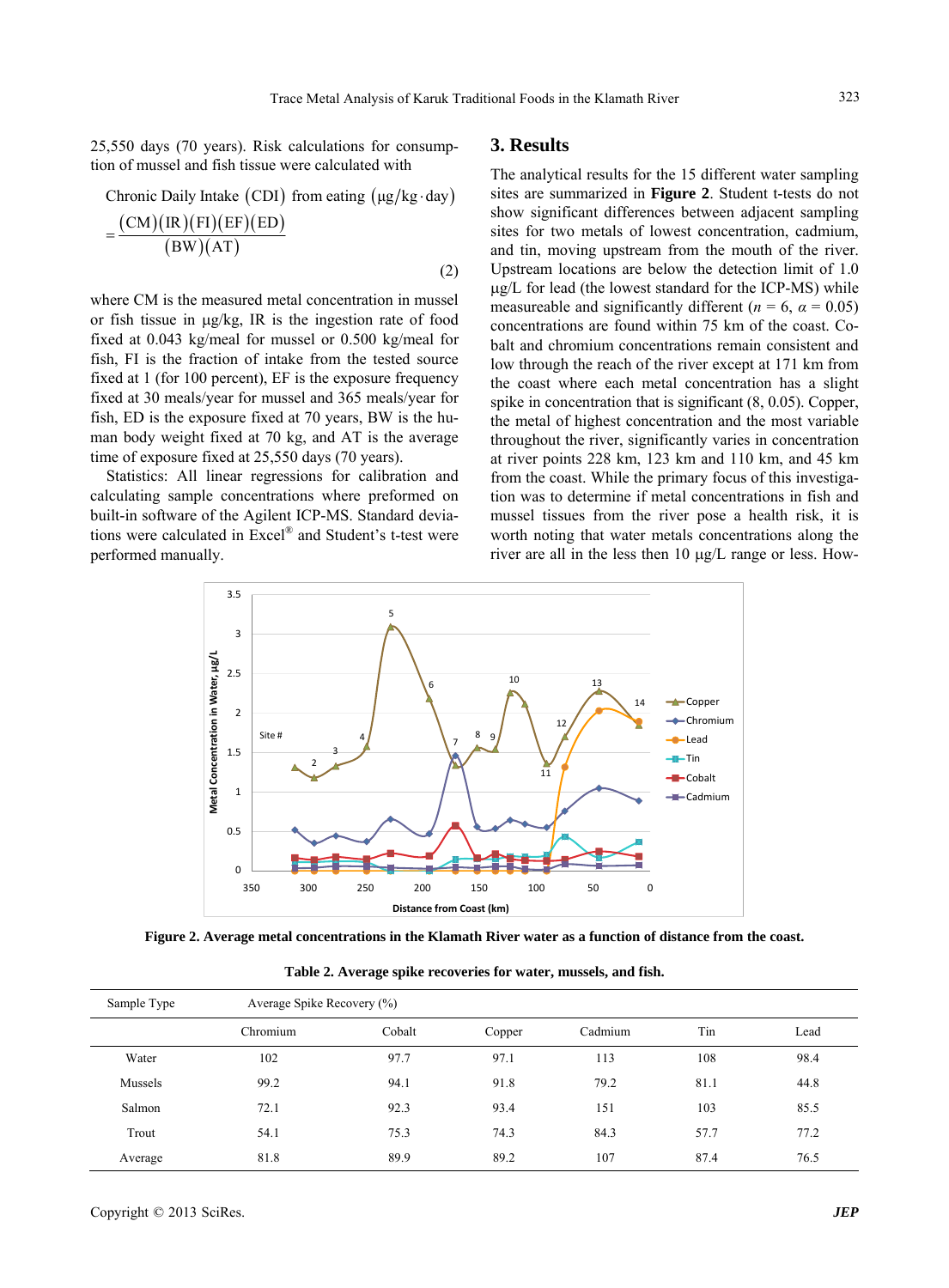25,550 days (70 years). Risk calculations for consump- **3. Results**  tion of mussel and fish tissue were calculated with

Chronic Daily Intake (CDI) from eating 
$$
(\mu g/kg \cdot day)
$$
  
= 
$$
\frac{(CM)(IR)(FI)(EF)(ED)}{(BW)(AT)}
$$
 (2)

where CM is the measured metal concentration in mussel or fish tissue in  $\mu$ g/kg, IR is the ingestion rate of food fixed at 0.043 kg/meal for mussel or 0.500 kg/meal for fish, FI is the fraction of intake from the tested source fixed at 1 (for 100 percent), EF is the exposure frequency fixed at 30 meals/year for mussel and 365 meals/year for fish, ED is the exposure fixed at 70 years, BW is the human body weight fixed at 70 kg, and AT is the average time of exposure fixed at 25,550 days (70 years).

Statistics: All linear regressions for calibration and calculating sample concentrations where preformed on built-in software of the Agilent ICP-MS. Standard deviations were calculated in Excel® and Student's t-test were performed manually.

The analytical results for the 15 different water sampling sites are summarized in **Figure 2**. Student t-tests do not show significant differences between adjacent sampling sites for two metals of lowest concentration, cadmium, and tin, moving upstream from the mouth of the river. Upstream locations are below the detection limit of 1.0  $\mu$ g/L for lead (the lowest standard for the ICP-MS) while measureable and significantly different ( $n = 6$ ,  $\alpha = 0.05$ ) concentrations are found within 75 km of the coast. Cobalt and chromium concentrations remain consistent and low through the reach of the river except at 171 km from the coast where each metal concentration has a slight spike in concentration that is significant (8, 0.05). Copper, the metal of highest concentration and the most variable throughout the river, significantly varies in concentration at river points 228 km, 123 km and 110 km, and 45 km from the coast. While the primary focus of this investigation was to determine if metal concentrations in fish and mussel tissues from the river pose a health risk, it is worth noting that water metals concentrations along the river are all in the less then  $10 \mu g/L$  range or less. How-



**Figure 2. Average metal concentrations in the Klamath River water as a function of distance from the coast.** 

| Sample Type | Average Spike Recovery (%) |        |        |         |      |      |  |  |
|-------------|----------------------------|--------|--------|---------|------|------|--|--|
|             | Chromium                   | Cobalt | Copper | Cadmium | Tin  | Lead |  |  |
| Water       | 102                        | 97.7   | 97.1   | 113     | 108  | 98.4 |  |  |
| Mussels     | 99.2                       | 94.1   | 91.8   | 79.2    | 81.1 | 44.8 |  |  |
| Salmon      | 72.1                       | 92.3   | 93.4   | 151     | 103  | 85.5 |  |  |
| Trout       | 54.1                       | 75.3   | 74.3   | 84.3    | 57.7 | 77.2 |  |  |
| Average     | 81.8                       | 89.9   | 89.2   | 107     | 87.4 | 76.5 |  |  |

**Table 2. Average spike recoveries for water, mussels, and fish.**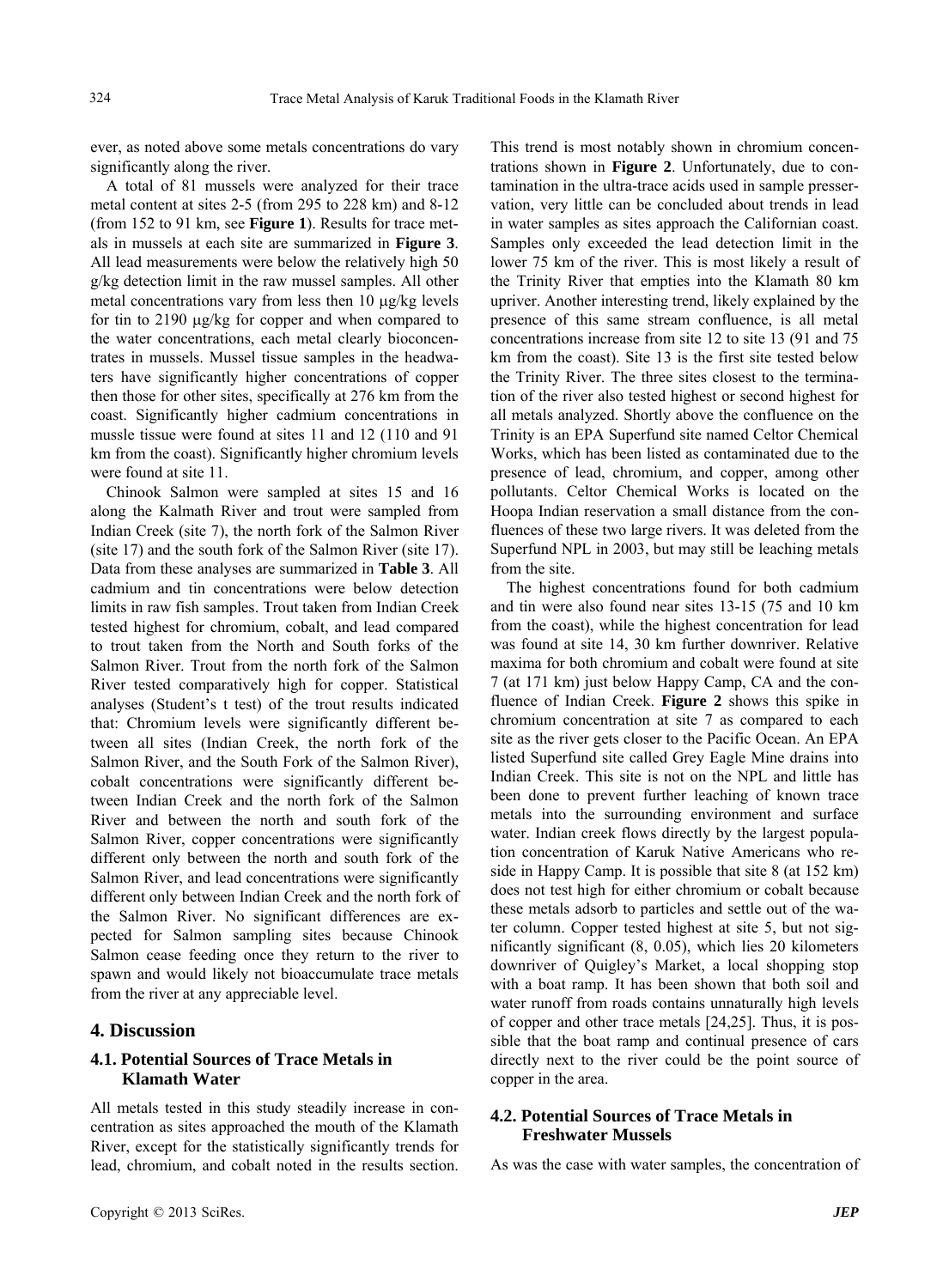ever, as noted above some metals concentrations do vary significantly along the river.

A total of 81 mussels were analyzed for their trace metal content at sites 2-5 (from 295 to 228 km) and 8-12 (from 152 to 91 km, see **Figure 1**). Results for trace metals in mussels at each site are summarized in **Figure 3**. All lead measurements were below the relatively high 50 g/kg detection limit in the raw mussel samples. All other metal concentrations vary from less then  $10 \mu g/kg$  levels for tin to  $2190 \mu g/kg$  for copper and when compared to the water concentrations, each metal clearly bioconcentrates in mussels. Mussel tissue samples in the headwaters have significantly higher concentrations of copper then those for other sites, specifically at 276 km from the coast. Significantly higher cadmium concentrations in mussle tissue were found at sites 11 and 12 (110 and 91 km from the coast). Significantly higher chromium levels were found at site 11.

Chinook Salmon were sampled at sites 15 and 16 along the Kalmath River and trout were sampled from Indian Creek (site 7), the north fork of the Salmon River (site 17) and the south fork of the Salmon River (site 17). Data from these analyses are summarized in **Table 3**. All cadmium and tin concentrations were below detection limits in raw fish samples. Trout taken from Indian Creek tested highest for chromium, cobalt, and lead compared to trout taken from the North and South forks of the Salmon River. Trout from the north fork of the Salmon River tested comparatively high for copper. Statistical analyses (Student's t test) of the trout results indicated that: Chromium levels were significantly different between all sites (Indian Creek, the north fork of the Salmon River, and the South Fork of the Salmon River), cobalt concentrations were significantly different between Indian Creek and the north fork of the Salmon River and between the north and south fork of the Salmon River, copper concentrations were significantly different only between the north and south fork of the Salmon River, and lead concentrations were significantly different only between Indian Creek and the north fork of the Salmon River. No significant differences are expected for Salmon sampling sites because Chinook Salmon cease feeding once they return to the river to spawn and would likely not bioaccumulate trace metals from the river at any appreciable level.

#### **4. Discussion**

## **4.1. Potential Sources of Trace Metals in Klamath Water**

All metals tested in this study steadily increase in concentration as sites approached the mouth of the Klamath River, except for the statistically significantly trends for lead, chromium, and cobalt noted in the results section.

This trend is most notably shown in chromium concentrations shown in **Figure 2**. Unfortunately, due to contamination in the ultra-trace acids used in sample presservation, very little can be concluded about trends in lead in water samples as sites approach the Californian coast. Samples only exceeded the lead detection limit in the lower 75 km of the river. This is most likely a result of the Trinity River that empties into the Klamath 80 km upriver. Another interesting trend, likely explained by the presence of this same stream confluence, is all metal concentrations increase from site 12 to site 13 (91 and 75 km from the coast). Site 13 is the first site tested below the Trinity River. The three sites closest to the termination of the river also tested highest or second highest for all metals analyzed. Shortly above the confluence on the Trinity is an EPA Superfund site named Celtor Chemical Works, which has been listed as contaminated due to the presence of lead, chromium, and copper, among other pollutants. Celtor Chemical Works is located on the Hoopa Indian reservation a small distance from the confluences of these two large rivers. It was deleted from the Superfund NPL in 2003, but may still be leaching metals from the site.

The highest concentrations found for both cadmium and tin were also found near sites 13-15 (75 and 10 km from the coast), while the highest concentration for lead was found at site 14, 30 km further downriver. Relative maxima for both chromium and cobalt were found at site 7 (at 171 km) just below Happy Camp, CA and the confluence of Indian Creek. **Figure 2** shows this spike in chromium concentration at site 7 as compared to each site as the river gets closer to the Pacific Ocean. An EPA listed Superfund site called Grey Eagle Mine drains into Indian Creek. This site is not on the NPL and little has been done to prevent further leaching of known trace metals into the surrounding environment and surface water. Indian creek flows directly by the largest population concentration of Karuk Native Americans who reside in Happy Camp. It is possible that site 8 (at 152 km) does not test high for either chromium or cobalt because these metals adsorb to particles and settle out of the water column. Copper tested highest at site 5, but not significantly significant (8, 0.05), which lies 20 kilometers downriver of Quigley's Market, a local shopping stop with a boat ramp. It has been shown that both soil and water runoff from roads contains unnaturally high levels of copper and other trace metals [24,25]. Thus, it is possible that the boat ramp and continual presence of cars directly next to the river could be the point source of copper in the area.

### **4.2. Potential Sources of Trace Metals in Freshwater Mussels**

As was the case with water samples, the concentration of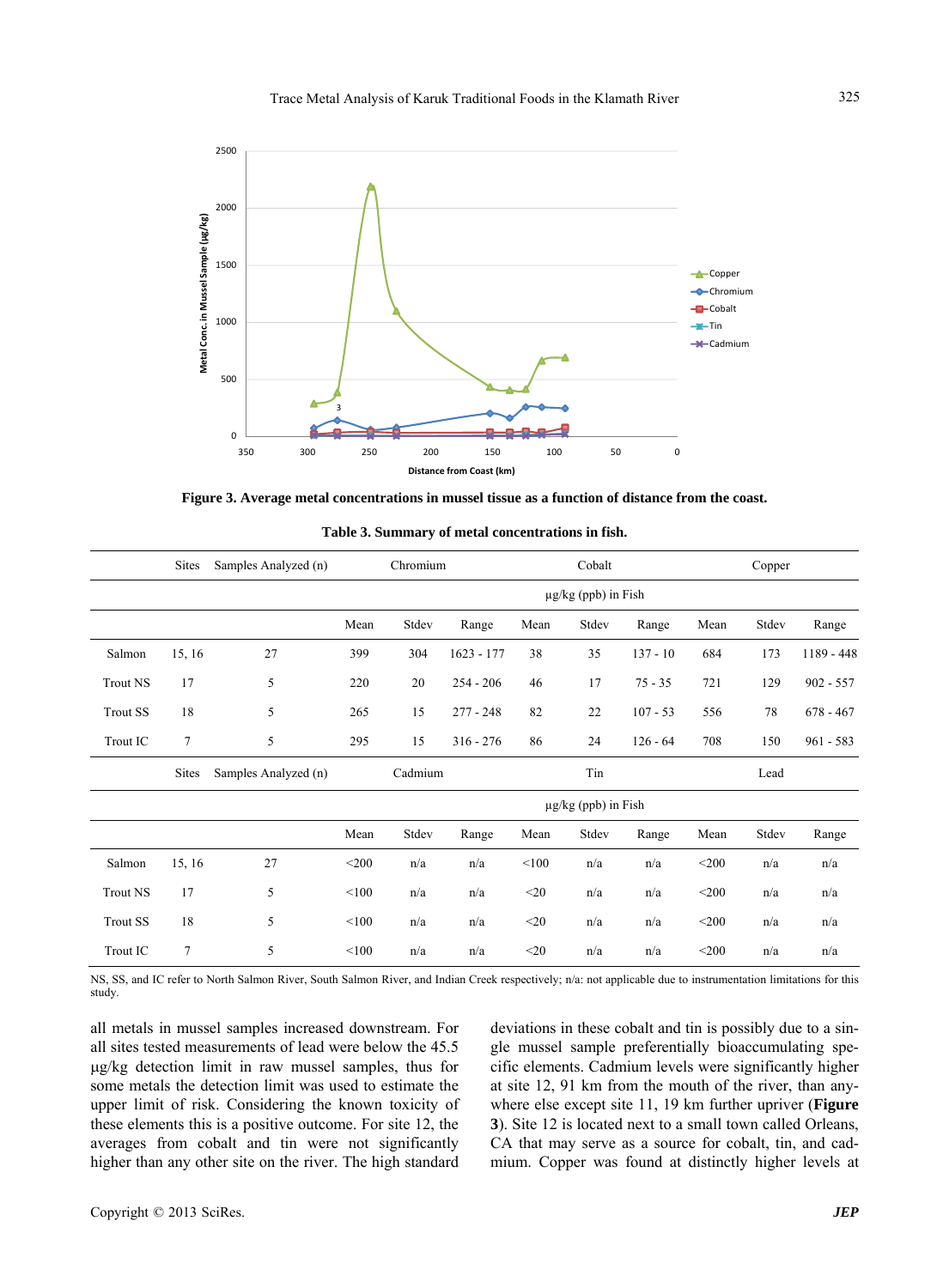

**Figure 3. Average metal concentrations in mussel tissue as a function of distance from the coast.** 

**Table 3. Summary of metal concentrations in fish.** 

|                 | <b>Sites</b>   | Samples Analyzed (n) | Chromium |                          | Cobalt       |        |                          | Copper     |         |       |             |
|-----------------|----------------|----------------------|----------|--------------------------|--------------|--------|--------------------------|------------|---------|-------|-------------|
|                 |                |                      |          | $\mu$ g/kg (ppb) in Fish |              |        |                          |            |         |       |             |
|                 |                |                      | Mean     | Stdev                    | Range        | Mean   | Stdev                    | Range      | Mean    | Stdev | Range       |
| Salmon          | 15, 16         | 27                   | 399      | 304                      | $1623 - 177$ | 38     | 35                       | $137 - 10$ | 684     | 173   | 1189 - 448  |
| <b>Trout NS</b> | 17             | 5                    | 220      | 20                       | $254 - 206$  | 46     | 17                       | $75 - 35$  | 721     | 129   | $902 - 557$ |
| <b>Trout SS</b> | 18             | 5                    | 265      | 15                       | $277 - 248$  | 82     | 22                       | $107 - 53$ | 556     | 78    | $678 - 467$ |
| Trout IC        | $\overline{7}$ | 5                    | 295      | 15                       | $316 - 276$  | 86     | 24                       | $126 - 64$ | 708     | 150   | $961 - 583$ |
|                 | <b>Sites</b>   | Samples Analyzed (n) |          | Cadmium                  |              |        | Tin                      |            |         | Lead  |             |
|                 |                |                      |          |                          |              |        | $\mu$ g/kg (ppb) in Fish |            |         |       |             |
|                 |                |                      | Mean     | Stdev                    | Range        | Mean   | Stdev                    | Range      | Mean    | Stdev | Range       |
| Salmon          | 15, 16         | 27                   | $<$ 200  | n/a                      | n/a          | < 100  | n/a                      | n/a        | $<$ 200 | n/a   | n/a         |
| <b>Trout NS</b> | 17             | 5                    | < 100    | n/a                      | n/a          | $<$ 20 | n/a                      | n/a        | $<$ 200 | n/a   | n/a         |
| <b>Trout SS</b> | 18             | 5                    | < 100    | n/a                      | n/a          | $<$ 20 | n/a                      | n/a        | $<$ 200 | n/a   | n/a         |
| <b>Trout IC</b> | 7              | 5                    | < 100    | n/a                      | n/a          | $<$ 20 | n/a                      | n/a        | $<$ 200 | n/a   | n/a         |

| $\sim$<br>rout IC<br>. | $\sim$ | 100 | n/a | n/a<br>. | $\mathcal{D}$<br>∼∠∪<br>__ | n/a<br>. | n/a | :200 | n/a<br>. | n/a |
|------------------------|--------|-----|-----|----------|----------------------------|----------|-----|------|----------|-----|
|                        |        |     |     |          |                            |          |     |      |          |     |

NS, SS, and IC refer to North Salmon River, South Salmon River, and Indian Creek respectively; n/a: not applicable due to instrumentation limitations for this study.

all metals in mussel samples increased downstream. For all sites tested measurements of lead were below the 45.5 g/kg detection limit in raw mussel samples, thus for some metals the detection limit was used to estimate the upper limit of risk. Considering the known toxicity of these elements this is a positive outcome. For site 12, the averages from cobalt and tin were not significantly higher than any other site on the river. The high standard

deviations in these cobalt and tin is possibly due to a single mussel sample preferentially bioaccumulating specific elements. Cadmium levels were significantly higher at site 12, 91 km from the mouth of the river, than anywhere else except site 11, 19 km further upriver (**Figure 3**). Site 12 is located next to a small town called Orleans, CA that may serve as a source for cobalt, tin, and cadmium. Copper was found at distinctly higher levels at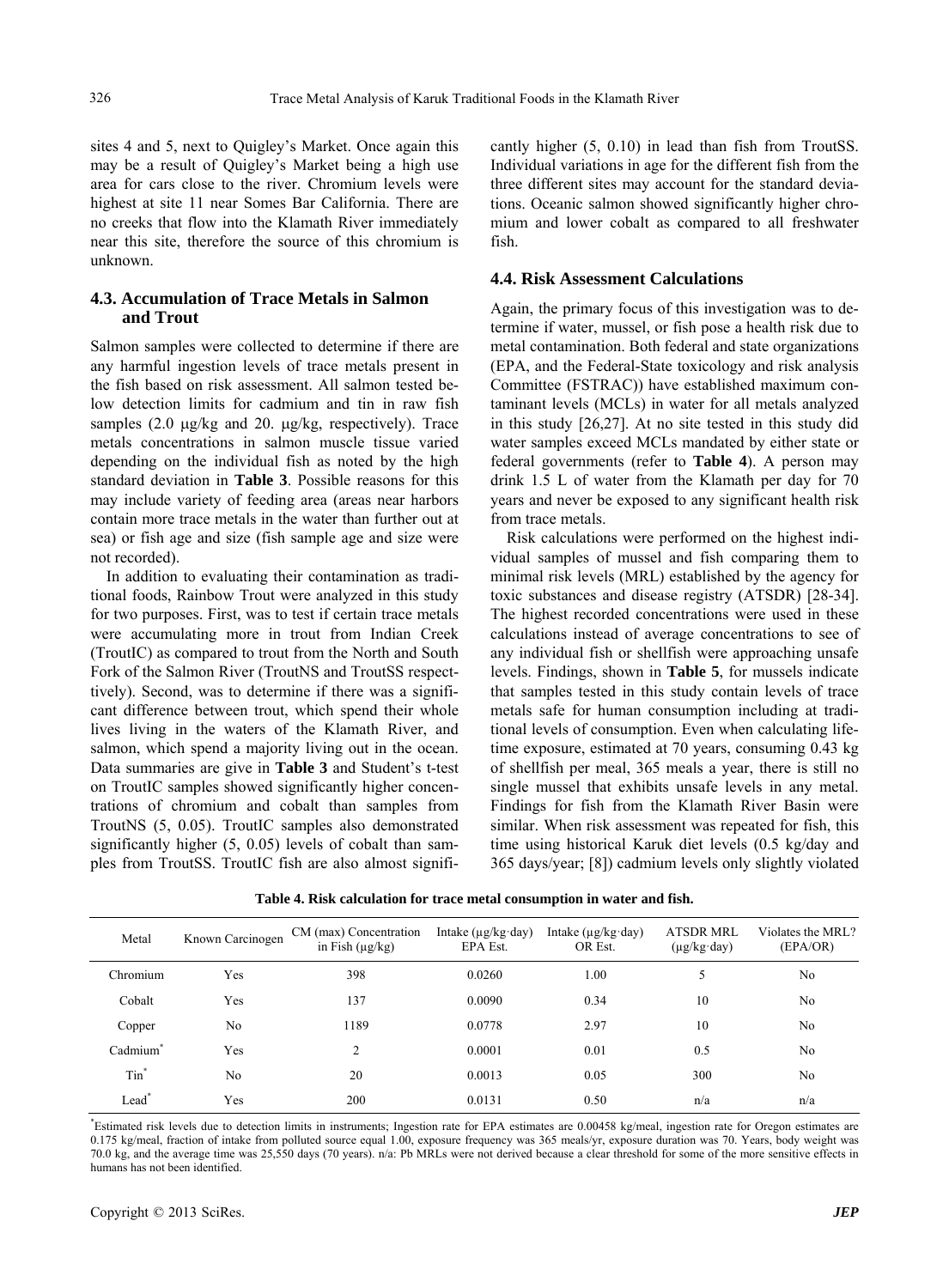sites 4 and 5, next to Quigley's Market. Once again this may be a result of Quigley's Market being a high use area for cars close to the river. Chromium levels were highest at site 11 near Somes Bar California. There are no creeks that flow into the Klamath River immediately near this site, therefore the source of this chromium is unknown.

#### **4.3. Accumulation of Trace Metals in Salmon and Trout**

Salmon samples were collected to determine if there are any harmful ingestion levels of trace metals present in the fish based on risk assessment. All salmon tested below detection limits for cadmium and tin in raw fish samples  $(2.0 \mu g/kg$  and  $20. \mu g/kg$ , respectively). Trace metals concentrations in salmon muscle tissue varied depending on the individual fish as noted by the high standard deviation in **Table 3**. Possible reasons for this may include variety of feeding area (areas near harbors contain more trace metals in the water than further out at sea) or fish age and size (fish sample age and size were not recorded).

In addition to evaluating their contamination as traditional foods, Rainbow Trout were analyzed in this study for two purposes. First, was to test if certain trace metals were accumulating more in trout from Indian Creek (TroutIC) as compared to trout from the North and South Fork of the Salmon River (TroutNS and TroutSS respecttively). Second, was to determine if there was a significant difference between trout, which spend their whole lives living in the waters of the Klamath River, and salmon, which spend a majority living out in the ocean. Data summaries are give in **Table 3** and Student's t-test on TroutIC samples showed significantly higher concentrations of chromium and cobalt than samples from TroutNS (5, 0.05). TroutIC samples also demonstrated significantly higher  $(5, 0.05)$  levels of cobalt than samples from TroutSS. TroutIC fish are also almost significantly higher (5, 0.10) in lead than fish from TroutSS. Individual variations in age for the different fish from the three different sites may account for the standard deviations. Oceanic salmon showed significantly higher chromium and lower cobalt as compared to all freshwater fish.

#### **4.4. Risk Assessment Calculations**

Again, the primary focus of this investigation was to determine if water, mussel, or fish pose a health risk due to metal contamination. Both federal and state organizations (EPA, and the Federal-State toxicology and risk analysis Committee (FSTRAC)) have established maximum contaminant levels (MCLs) in water for all metals analyzed in this study [26,27]. At no site tested in this study did water samples exceed MCLs mandated by either state or federal governments (refer to **Table 4**). A person may drink 1.5 L of water from the Klamath per day for 70 years and never be exposed to any significant health risk from trace metals.

Risk calculations were performed on the highest individual samples of mussel and fish comparing them to minimal risk levels (MRL) established by the agency for toxic substances and disease registry (ATSDR) [28-34]. The highest recorded concentrations were used in these calculations instead of average concentrations to see of any individual fish or shellfish were approaching unsafe levels. Findings, shown in **Table 5**, for mussels indicate that samples tested in this study contain levels of trace metals safe for human consumption including at traditional levels of consumption. Even when calculating lifetime exposure, estimated at 70 years, consuming 0.43 kg of shellfish per meal, 365 meals a year, there is still no single mussel that exhibits unsafe levels in any metal. Findings for fish from the Klamath River Basin were similar. When risk assessment was repeated for fish, this time using historical Karuk diet levels (0.5 kg/day and 365 days/year; [8]) cadmium levels only slightly violated

| Metal                | Known Carcinogen | CM (max) Concentration<br>in Fish $(\mu g/kg)$ | Intake $(\mu g/kg \cdot day)$<br>EPA Est. | Intake $(\mu g/kg \cdot day)$<br>OR Est. | ATSDR MRL<br>$(\mu g/kg \cdot day)$ | Violates the MRL?<br>(EPA/OR) |
|----------------------|------------------|------------------------------------------------|-------------------------------------------|------------------------------------------|-------------------------------------|-------------------------------|
| Chromium             | Yes              | 398                                            | 0.0260                                    | 1.00                                     | 5                                   | No                            |
| Cobalt               | Yes              | 137                                            | 0.0090                                    | 0.34                                     | 10                                  | No                            |
| Copper               | No               | 1189                                           | 0.0778                                    | 2.97                                     | 10                                  | N <sub>0</sub>                |
| Cadmium <sup>®</sup> | Yes              | 2                                              | 0.0001                                    | 0.01                                     | 0.5                                 | N <sub>0</sub>                |
| Tin <sup>*</sup>     | No               | 20                                             | 0.0013                                    | 0.05                                     | 300                                 | No                            |
| Lead <sup>*</sup>    | Yes              | 200                                            | 0.0131                                    | 0.50                                     | n/a                                 | n/a                           |

**Table 4. Risk calculation for trace metal consumption in water and fish.** 

\* Estimated risk levels due to detection limits in instruments; Ingestion rate for EPA estimates are 0.00458 kg/meal, ingestion rate for Oregon estimates are 0.175 kg/meal, fraction of intake from polluted source equal 1.00, exposure frequency was 365 meals/yr, exposure duration was 70. Years, body weight was 70.0 kg, and the average time was 25,550 days (70 years). n/a: Pb MRLs were not derived because a clear threshold for some of the more sensitive effects in humans has not been identified.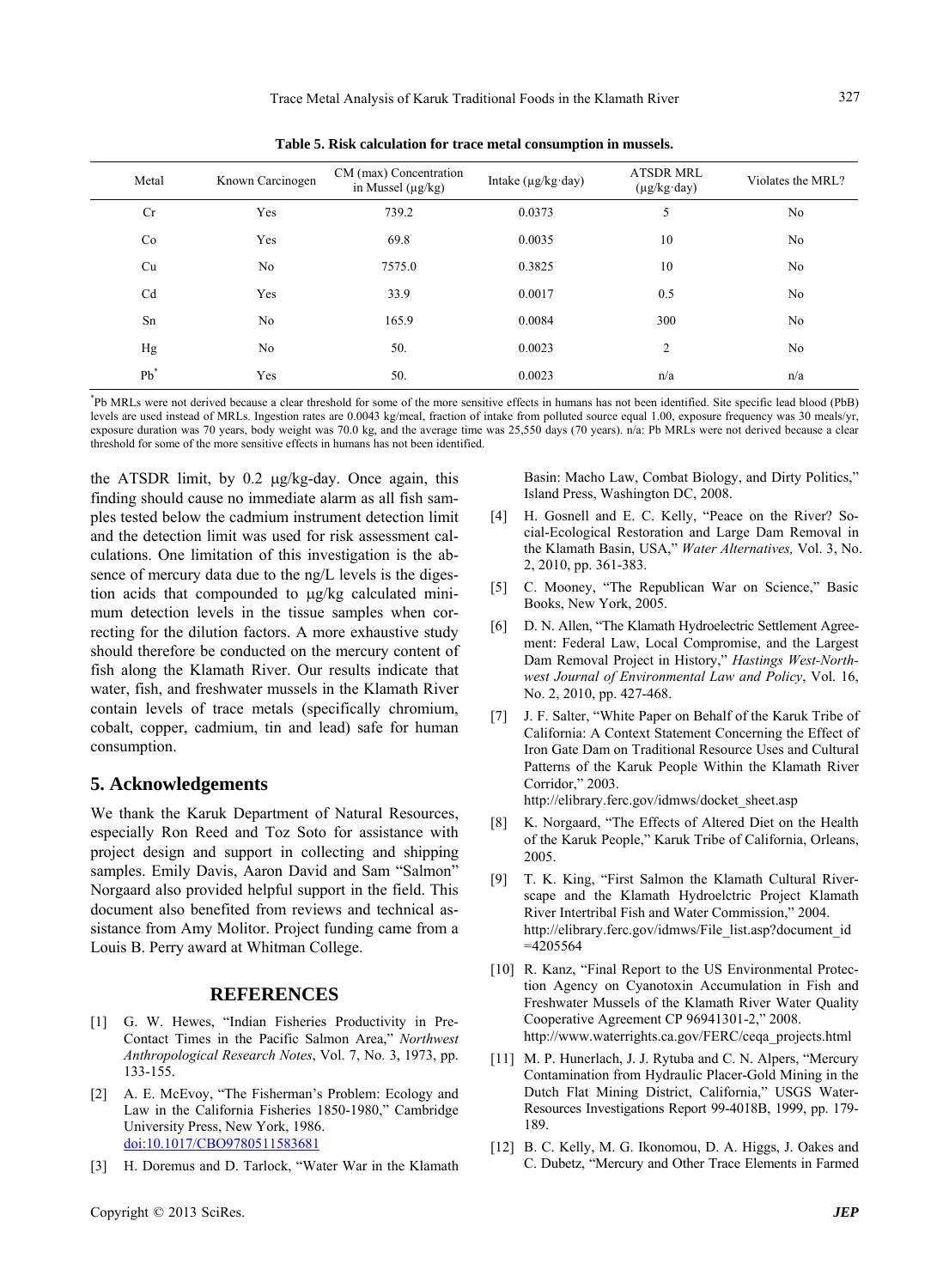| ×       | 전 사 |  |
|---------|-----|--|
| I       |     |  |
| ×<br>۰. |     |  |

| Metal  | Known Carcinogen | CM (max) Concentration<br>in Mussel $(\mu g/kg)$ | Intake $(\mu g/kg \cdot day)$ | <b>ATSDR MRL</b><br>$(\mu g/kg \cdot day)$ | Violates the MRL? |
|--------|------------------|--------------------------------------------------|-------------------------------|--------------------------------------------|-------------------|
| Cr     | Yes              | 739.2                                            | 0.0373                        | 5                                          | No                |
| Co     | Yes              | 69.8                                             | 0.0035                        | 10                                         | No                |
| Cu     | N <sub>0</sub>   | 7575.0                                           | 0.3825                        | 10                                         | No                |
| Cd     | Yes              | 33.9                                             | 0.0017                        | 0.5                                        | No                |
| Sn     | N <sub>o</sub>   | 165.9                                            | 0.0084                        | 300                                        | No                |
| Hg     | No               | 50.                                              | 0.0023                        | $\overline{2}$                             | No                |
| $Pb^*$ | Yes              | 50.                                              | 0.0023                        | n/a                                        | n/a               |
|        |                  |                                                  |                               |                                            |                   |

**Table 5. Risk calculation for trace metal consumption in mussels.** 

\* Pb MRLs were not derived because a clear threshold for some of the more sensitive effects in humans has not been identified. Site specific lead blood (PbB) levels are used instead of MRLs. Ingestion rates are 0.0043 kg/meal, fraction of intake from polluted source equal 1.00, exposure frequency was 30 meals/yr, exposure duration was 70 years, body weight was 70.0 kg, and the average time was 25,550 days (70 years). n/a: Pb MRLs were not derived because a clear threshold for some of the more sensitive effects in humans has not been identified.

the ATSDR limit, by  $0.2 \mu g/kg$ -day. Once again, this finding should cause no immediate alarm as all fish samples tested below the cadmium instrument detection limit and the detection limit was used for risk assessment calculations. One limitation of this investigation is the absence of mercury data due to the ng/L levels is the digestion acids that compounded to  $\mu$ g/kg calculated minimum detection levels in the tissue samples when correcting for the dilution factors. A more exhaustive study should therefore be conducted on the mercury content of fish along the Klamath River. Our results indicate that water, fish, and freshwater mussels in the Klamath River contain levels of trace metals (specifically chromium, cobalt, copper, cadmium, tin and lead) safe for human consumption.

#### **5. Acknowledgements**

We thank the Karuk Department of Natural Resources, especially Ron Reed and Toz Soto for assistance with project design and support in collecting and shipping samples. Emily Davis, Aaron David and Sam "Salmon" Norgaard also provided helpful support in the field. This document also benefited from reviews and technical assistance from Amy Molitor. Project funding came from a Louis B. Perry award at Whitman College.

#### **REFERENCES**

- [1] G. W. Hewes, "Indian Fisheries Productivity in Pre-Contact Times in the Pacific Salmon Area," *Northwest Anthropological Research Notes*, Vol. 7, No. 3, 1973, pp. 133-155.
- [2] A. E. McEvoy, "The Fisherman's Problem: Ecology and Law in the California Fisheries 1850-1980," Cambridge University Press, New York, 1986. [doi:10.1017/CBO9780511583681](http://dx.doi.org/10.1017/CBO9780511583681)
- [3] H. Doremus and D. Tarlock, "Water War in the Klamath

Basin: Macho Law, Combat Biology, and Dirty Politics," Island Press, Washington DC, 2008.

- [4] H. Gosnell and E. C. Kelly, "Peace on the River? Social-Ecological Restoration and Large Dam Removal in the Klamath Basin, USA," *Water Alternatives,* Vol. 3, No. 2, 2010, pp. 361-383.
- [5] C. Mooney, "The Republican War on Science," Basic Books, New York, 2005.
- [6] D. N. Allen, "The Klamath Hydroelectric Settlement Agreement: Federal Law, Local Compromise, and the Largest Dam Removal Project in History," *Hastings West-Northwest Journal of Environmental Law and Policy*, Vol. 16, No. 2, 2010, pp. 427-468.
- [7] J. F. Salter, "White Paper on Behalf of the Karuk Tribe of California: A Context Statement Concerning the Effect of Iron Gate Dam on Traditional Resource Uses and Cultural Patterns of the Karuk People Within the Klamath River Corridor," 2003. http://elibrary.ferc.gov/idmws/docket\_sheet.asp
- [8] K. Norgaard, "The Effects of Altered Diet on the Health of the Karuk People," Karuk Tribe of California, Orleans, 2005.
- [9] T. K. King, "First Salmon the Klamath Cultural Riverscape and the Klamath Hydroelctric Project Klamath River Intertribal Fish and Water Commission," 2004. http://elibrary.ferc.gov/idmws/File\_list.asp?document\_id  $=4205564$
- [10] R. Kanz, "Final Report to the US Environmental Protection Agency on Cyanotoxin Accumulation in Fish and Freshwater Mussels of the Klamath River Water Quality Cooperative Agreement CP 96941301-2," 2008. http://www.waterrights.ca.gov/FERC/ceqa\_projects.html
- [11] M. P. Hunerlach, J. J. Rytuba and C. N. Alpers, "Mercury Contamination from Hydraulic Placer-Gold Mining in the Dutch Flat Mining District, California," USGS Water-Resources Investigations Report 99-4018B, 1999, pp. 179- 189.
- [12] B. C. Kelly, M. G. Ikonomou, D. A. Higgs, J. Oakes and C. Dubetz, "Mercury and Other Trace Elements in Farmed